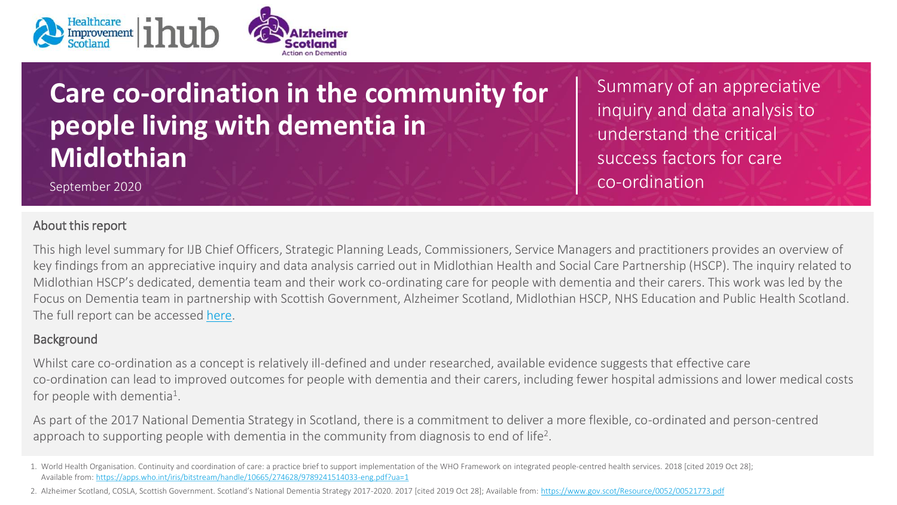

## **Care co-ordination in the community for people living with dementia in Midlothian**

September 2020

## About this report

Summary of an appreciative inquiry and data analysis to understand the critical success factors for care co-ordination

This high level summary for IJB Chief Officers, Strategic Planning Leads, Commissioners, Service Managers and practitioners provides an overview of key findings from an appreciative inquiry and data analysis carried out in Midlothian Health and Social Care Partnership (HSCP). The inquiry related to Midlothian HSCP's dedicated, dementia team and their work co-ordinating care for people with dementia and their carers. This work was led by the Focus on Dementia team in partnership with Scottish Government, Alzheimer Scotland, Midlothian HSCP, NHS Education and Public Health Scotland. The full report can be accessed [here](https://ihub.scot/improvement-programmes/focus-on-dementia/integrated-care/care-co-ordination-in-midlothian-report/).

## **Background**

Whilst care co-ordination as a concept is relatively ill-defined and under researched, available evidence suggests that effective care co-ordination can lead to improved outcomes for people with dementia and their carers, including fewer hospital admissions and lower medical costs for people with dementia<sup>1</sup>.

As part of the 2017 National Dementia Strategy in Scotland, there is a commitment to deliver a more flexible, co-ordinated and person-centred approach to supporting people with dementia in the community from diagnosis to end of life<sup>2</sup>.

<sup>1.</sup> World Health Organisation. Continuity and coordination of care: a practice brief to support implementation of the WHO Framework on integrated people-centred health services. 2018 [cited 2019 Oct 28]; Available from: <https://apps.who.int/iris/bitstream/handle/10665/274628/9789241514033-eng.pdf?ua=1>

<sup>2.</sup> Alzheimer Scotland, COSLA, Scottish Government. Scotland's National Dementia Strategy 2017-2020. 2017 [cited 2019 Oct 28]; Available from: <https://www.gov.scot/Resource/0052/00521773.pdf>